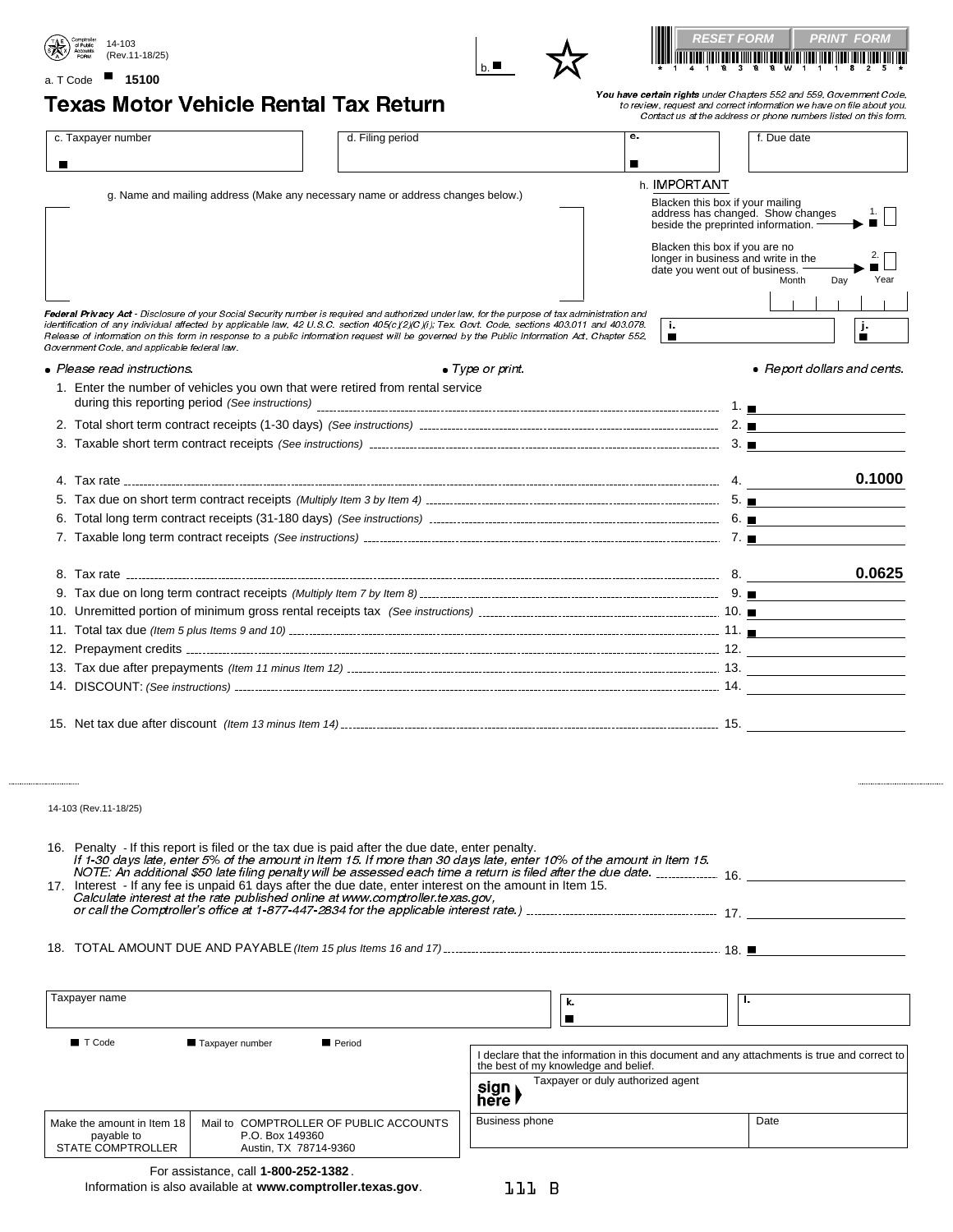





## a. T Code ■ 15100

Texas Motor Vehicle Rental Tax Return You have certain rights under Chapters 552 and 559, Government Code, to review, request and correct information we have on file about you. Contact us at the address or phone numbers listed on this form.

| c. Taxpayer number                                                                                                                                                                           | d. Filing period                                                                                                                                       |         | е.                                                                    | f. Due date                             |  |
|----------------------------------------------------------------------------------------------------------------------------------------------------------------------------------------------|--------------------------------------------------------------------------------------------------------------------------------------------------------|---------|-----------------------------------------------------------------------|-----------------------------------------|--|
| п                                                                                                                                                                                            |                                                                                                                                                        |         | п<br>h. IMPORTANT                                                     |                                         |  |
|                                                                                                                                                                                              | g. Name and mailing address (Make any necessary name or address changes below.)                                                                        |         | Blacken this box if your mailing                                      |                                         |  |
|                                                                                                                                                                                              |                                                                                                                                                        |         | beside the preprinted information. -                                  | address has changed. Show changes<br>1. |  |
|                                                                                                                                                                                              |                                                                                                                                                        |         |                                                                       |                                         |  |
|                                                                                                                                                                                              |                                                                                                                                                        |         | Blacken this box if you are no<br>longer in business and write in the |                                         |  |
|                                                                                                                                                                                              |                                                                                                                                                        |         | date you went out of business.                                        |                                         |  |
|                                                                                                                                                                                              |                                                                                                                                                        |         |                                                                       | Month<br>Day<br>Year                    |  |
| Federal Privacy Act - Disclosure of your Social Security number is required and authorized under law, for the purpose of tax administration and                                              |                                                                                                                                                        |         |                                                                       |                                         |  |
| identification of any individual affected by applicable law, 42 U.S.C. section 405(c)(2)(C)(i); Tex. Govt. Code, sections 403.011 and 403.078.                                               |                                                                                                                                                        |         | ÷.                                                                    | j.                                      |  |
| Release of information on this form in response to a public information request will be governed by the Public Information Act, Chapter 552,<br>Government Code, and applicable federal law. |                                                                                                                                                        |         | $\blacksquare$                                                        | п                                       |  |
| • Please read instructions.                                                                                                                                                                  | $\bullet$ Type or print.                                                                                                                               |         |                                                                       | • Report dollars and cents.             |  |
| 1. Enter the number of vehicles you own that were retired from rental service                                                                                                                |                                                                                                                                                        |         |                                                                       |                                         |  |
|                                                                                                                                                                                              |                                                                                                                                                        |         |                                                                       |                                         |  |
|                                                                                                                                                                                              |                                                                                                                                                        |         |                                                                       |                                         |  |
|                                                                                                                                                                                              |                                                                                                                                                        |         |                                                                       |                                         |  |
|                                                                                                                                                                                              |                                                                                                                                                        |         |                                                                       |                                         |  |
|                                                                                                                                                                                              |                                                                                                                                                        |         |                                                                       | 0.1000                                  |  |
|                                                                                                                                                                                              |                                                                                                                                                        |         |                                                                       |                                         |  |
|                                                                                                                                                                                              |                                                                                                                                                        |         |                                                                       |                                         |  |
|                                                                                                                                                                                              |                                                                                                                                                        |         |                                                                       |                                         |  |
|                                                                                                                                                                                              |                                                                                                                                                        |         |                                                                       |                                         |  |
|                                                                                                                                                                                              |                                                                                                                                                        |         |                                                                       | 0.0625                                  |  |
|                                                                                                                                                                                              |                                                                                                                                                        |         |                                                                       |                                         |  |
|                                                                                                                                                                                              |                                                                                                                                                        |         |                                                                       |                                         |  |
|                                                                                                                                                                                              |                                                                                                                                                        |         |                                                                       |                                         |  |
|                                                                                                                                                                                              |                                                                                                                                                        |         |                                                                       |                                         |  |
|                                                                                                                                                                                              |                                                                                                                                                        |         |                                                                       |                                         |  |
|                                                                                                                                                                                              |                                                                                                                                                        |         |                                                                       |                                         |  |
|                                                                                                                                                                                              |                                                                                                                                                        |         |                                                                       |                                         |  |
|                                                                                                                                                                                              |                                                                                                                                                        |         |                                                                       |                                         |  |
|                                                                                                                                                                                              |                                                                                                                                                        |         |                                                                       |                                         |  |
|                                                                                                                                                                                              |                                                                                                                                                        |         |                                                                       |                                         |  |
|                                                                                                                                                                                              |                                                                                                                                                        |         |                                                                       |                                         |  |
| 14-103 (Rev.11-18/25)                                                                                                                                                                        |                                                                                                                                                        |         |                                                                       |                                         |  |
|                                                                                                                                                                                              |                                                                                                                                                        |         |                                                                       |                                         |  |
| 16. Penalty - If this report is filed or the tax due is paid after the due date, enter penalty.                                                                                              |                                                                                                                                                        |         |                                                                       |                                         |  |
|                                                                                                                                                                                              | If 1-30 days late, enter 5% of the amount in Item 15. If more than 30 days late, enter 10% of the amount in Item 15.                                   |         |                                                                       |                                         |  |
|                                                                                                                                                                                              | NOTE: An additional \$50 late filing penalty will be assessed each time a return is filed after the due date. ______________ 16. _________________ 16. |         |                                                                       |                                         |  |
| 17. Interest - If any fee is unpaid 61 days after the due date, enter interest on the amount in Item 15.<br>Calculate interest at the rate published online at www.comptroller.texas.gov,    |                                                                                                                                                        |         |                                                                       |                                         |  |
|                                                                                                                                                                                              |                                                                                                                                                        |         |                                                                       |                                         |  |
|                                                                                                                                                                                              |                                                                                                                                                        |         |                                                                       |                                         |  |
|                                                                                                                                                                                              |                                                                                                                                                        |         |                                                                       |                                         |  |
|                                                                                                                                                                                              |                                                                                                                                                        |         |                                                                       |                                         |  |
|                                                                                                                                                                                              |                                                                                                                                                        |         |                                                                       |                                         |  |
|                                                                                                                                                                                              |                                                                                                                                                        |         |                                                                       |                                         |  |
| Taxpayer name                                                                                                                                                                                |                                                                                                                                                        | k.<br>▬ |                                                                       | п.                                      |  |

Taxpayer or duly authorized agent sign)<br>here

| TIELE L        |      |
|----------------|------|
| Business phone | Date |

payable to STATE COMPTROLLER P.O. Box 149360 Austin, TX 78714-9360

Mail to COMPTROLLER OF PUBLIC ACCOUNTS

| For assistance, call 1-800-252-1382.                        |
|-------------------------------------------------------------|
| Information is also available at www.comptroller.texas.gov. |

Make the amount in Item 18